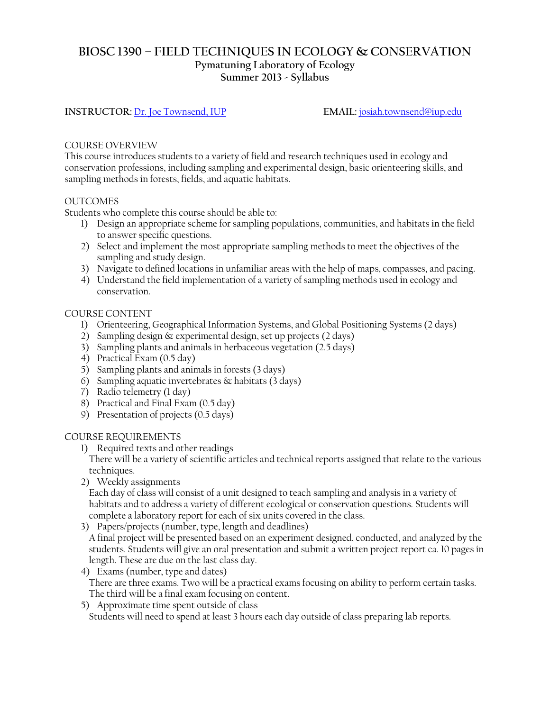# **BIOSC 1390 – FIELD TECHNIQUES IN ECOLOGY & CONSERVATION Pymatuning Laboratory of Ecology Summer 2013 - Syllabus**

### **INSTRUCTOR:** [Dr. Joe Townsend, IUP](http://www.iup.edu/page.aspx?id=129347) **EMAIL:** [josiah.townsend@iup.edu](mailto:josiah.townsend@iup.edu)

#### COURSE OVERVIEW

This course introduces students to a variety of field and research techniques used in ecology and conservation professions, including sampling and experimental design, basic orienteering skills, and sampling methods in forests, fields, and aquatic habitats.

#### OUTCOMES

Students who complete this course should be able to:

- 1) Design an appropriate scheme for sampling populations, communities, and habitats in the field to answer specific questions.
- 2) Select and implement the most appropriate sampling methods to meet the objectives of the sampling and study design.
- 3) Navigate to defined locations in unfamiliar areas with the help of maps, compasses, and pacing.
- 4) Understand the field implementation of a variety of sampling methods used in ecology and conservation.

#### COURSE CONTENT

- 1) Orienteering, Geographical Information Systems, and Global Positioning Systems (2 days)
- 2) Sampling design & experimental design, set up projects (2 days)
- 3) Sampling plants and animals in herbaceous vegetation (2.5 days)
- 4) Practical Exam (0.5 day)
- 5) Sampling plants and animals in forests (3 days)
- 6) Sampling aquatic invertebrates  $\&$  habitats (3 days)
- 7) Radio telemetry (1 day)
- 8) Practical and Final Exam (0.5 day)
- 9) Presentation of projects (0.5 days)

#### COURSE REQUIREMENTS

1) Required texts and other readings

There will be a variety of scientific articles and technical reports assigned that relate to the various techniques.

2) Weekly assignments

Each day of class will consist of a unit designed to teach sampling and analysis in a variety of habitats and to address a variety of different ecological or conservation questions. Students will complete a laboratory report for each of six units covered in the class.

3) Papers/projects (number, type, length and deadlines)

A final project will be presented based on an experiment designed, conducted, and analyzed by the students. Students will give an oral presentation and submit a written project report ca. 10 pages in length. These are due on the last class day.

- 4) Exams (number, type and dates) There are three exams. Two will be a practical exams focusing on ability to perform certain tasks. The third will be a final exam focusing on content.
- 5) Approximate time spent outside of class Students will need to spend at least 3 hours each day outside of class preparing lab reports.